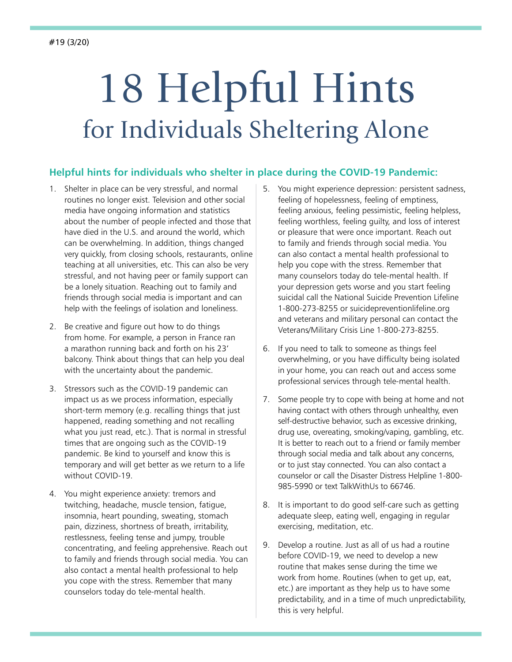## 18 Helpful Hints for Individuals Sheltering Alone

## **Helpful hints for individuals who shelter in place during the COVID-19 Pandemic:**

- 1. Shelter in place can be very stressful, and normal routines no longer exist. Television and other social media have ongoing information and statistics about the number of people infected and those that have died in the U.S. and around the world, which can be overwhelming. In addition, things changed very quickly, from closing schools, restaurants, online teaching at all universities, etc. This can also be very stressful, and not having peer or family support can be a lonely situation. Reaching out to family and friends through social media is important and can help with the feelings of isolation and loneliness.
- 2. Be creative and figure out how to do things from home. For example, a person in France ran a marathon running back and forth on his 23' balcony. Think about things that can help you deal with the uncertainty about the pandemic.
- 3. Stressors such as the COVID-19 pandemic can impact us as we process information, especially short-term memory (e.g. recalling things that just happened, reading something and not recalling what you just read, etc.). That is normal in stressful times that are ongoing such as the COVID-19 pandemic. Be kind to yourself and know this is temporary and will get better as we return to a life without COVID-19.
- 4. You might experience anxiety: tremors and twitching, headache, muscle tension, fatigue, insomnia, heart pounding, sweating, stomach pain, dizziness, shortness of breath, irritability, restlessness, feeling tense and jumpy, trouble concentrating, and feeling apprehensive. Reach out to family and friends through social media. You can also contact a mental health professional to help you cope with the stress. Remember that many counselors today do tele-mental health.
- 5. You might experience depression: persistent sadness, feeling of hopelessness, feeling of emptiness, feeling anxious, feeling pessimistic, feeling helpless, feeling worthless, feeling guilty, and loss of interest or pleasure that were once important. Reach out to family and friends through social media. You can also contact a mental health professional to help you cope with the stress. Remember that many counselors today do tele-mental health. If your depression gets worse and you start feeling suicidal call the National Suicide Prevention Lifeline 1-800-273-8255 or [suicidepreventionlifeline.org](https://suicidepreventionlifeline.org/)  and veterans and military personal can contact the Veterans/Military Crisis Line 1-800-273-8255.
- 6. If you need to talk to someone as things feel overwhelming, or you have difficulty being isolated in your home, you can reach out and access some professional services through tele-mental health.
- 7. Some people try to cope with being at home and not having contact with others through unhealthy, even self-destructive behavior, such as excessive drinking, drug use, overeating, smoking/vaping, gambling, etc. It is better to reach out to a friend or family member through social media and talk about any concerns, or to just stay connected. You can also contact a counselor or call the Disaster Distress Helpline 1-800- 985-5990 or text TalkWithUs to 66746.
- 8. It is important to do good self-care such as getting adequate sleep, eating well, engaging in regular exercising, meditation, etc.
- 9. Develop a routine. Just as all of us had a routine before COVID-19, we need to develop a new routine that makes sense during the time we work from home. Routines (when to get up, eat, etc.) are important as they help us to have some predictability, and in a time of much unpredictability, this is very helpful.